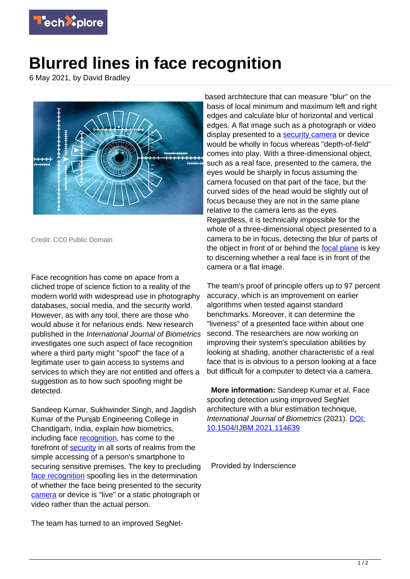

## **Blurred lines in face recognition**

6 May 2021, by David Bradley



Credit: CC0 Public Domain

Face recognition has come on apace from a cliched trope of science fiction to a reality of the modern world with widespread use in photography databases, social media, and the security world. However, as with any tool, there are those who would abuse it for nefarious ends. New research published in the International Journal of Biometrics investigates one such aspect of face recognition where a third party might "spoof" the face of a legitimate user to gain access to systems and services to which they are not entitled and offers a suggestion as to how such spoofing might be detected.

Sandeep Kumar, Sukhwinder Singh, and Jagdish Kumar of the Punjab Engineering College in Chandigarh, India, explain how biometrics, including face [recognition](https://techxplore.com/tags/recognition/), has come to the forefront of [security](https://techxplore.com/tags/security/) in all sorts of realms from the simple accessing of a person's smartphone to securing sensitive premises. The key to precluding [face recognition](https://techxplore.com/tags/face+recognition/) spoofing lies in the determination of whether the face being presented to the security [camera](https://techxplore.com/tags/camera/) or device is "live" or a static photograph or video rather than the actual person.

The team has turned to an improved SegNet-

based architecture that can measure "blur" on the basis of local minimum and maximum left and right edges and calculate blur of horizontal and vertical edges. A flat image such as a photograph or video display presented to a [security camera](https://techxplore.com/tags/security+camera/) or device would be wholly in focus whereas "depth-of-field" comes into play. With a three-dimensional object, such as a real face, presented to the camera, the eyes would be sharply in focus assuming the camera focused on that part of the face, but the curved sides of the head would be slightly out of focus because they are not in the same plane relative to the camera lens as the eyes. Regardless, it is technically impossible for the whole of a three-dimensional object presented to a camera to be in focus, detecting the blur of parts of the object in front of or behind the [focal plane](https://techxplore.com/tags/focal+plane/) is key to discerning whether a real face is in front of the camera or a flat image.

The team's proof of principle offers up to 97 percent accuracy, which is an improvement on earlier algorithms when tested against standard benchmarks. Moreover, it can determine the "liveness" of a presented face within about one second. The researchers are now working on improving their system's speculation abilities by looking at shading, another characteristic of a real face that is is obvious to a person looking at a face but difficult for a computer to detect via a camera.

 **More information:** Sandeep Kumar et al. Face spoofing detection using improved SegNet architecture with a blur estimation technique, International Journal of Biometrics (2021). [DOI:](http://dx.doi.org/10.1504/IJBM.2021.114639) [10.1504/IJBM.2021.114639](http://dx.doi.org/10.1504/IJBM.2021.114639)

Provided by Inderscience